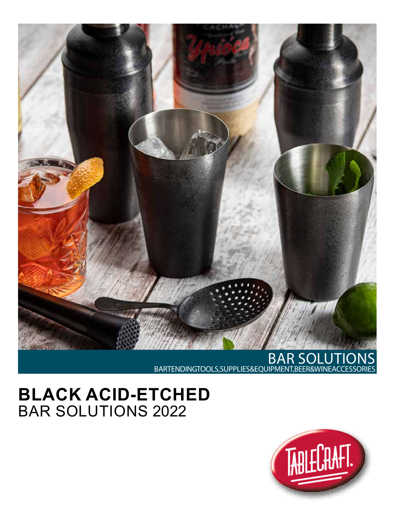

## BAR SOLUTIONS BARTENDING TOOLS, SUPPLIES & EQUIPMENT, BEER & WINE ACCESSORIES

## **BLACK ACID-ETCHED** BAR SOLUTIONS 2022